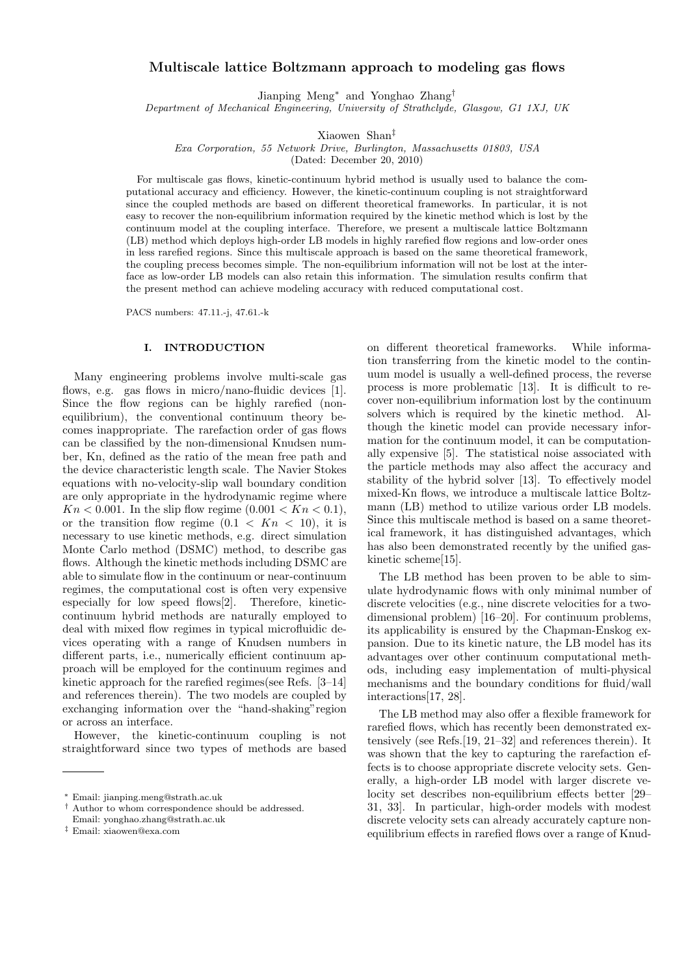# **Multiscale lattice Boltzmann approach to modeling gas flows**

Jianping Meng*<sup>∗</sup>* and Yonghao Zhang*†*

*Department of Mechanical Engineering, University of Strathclyde, Glasgow, G1 1XJ, UK*

Xiaowen Shan*‡*

*Exa Corporation, 55 Network Drive, Burlington, Massachusetts 01803, USA*

(Dated: December 20, 2010)

For multiscale gas flows, kinetic-continuum hybrid method is usually used to balance the computational accuracy and efficiency. However, the kinetic-continuum coupling is not straightforward since the coupled methods are based on different theoretical frameworks. In particular, it is not easy to recover the non-equilibrium information required by the kinetic method which is lost by the continuum model at the coupling interface. Therefore, we present a multiscale lattice Boltzmann (LB) method which deploys high-order LB models in highly rarefied flow regions and low-order ones in less rarefied regions. Since this multiscale approach is based on the same theoretical framework, the coupling precess becomes simple. The non-equilibrium information will not be lost at the interface as low-order LB models can also retain this information. The simulation results confirm that the present method can achieve modeling accuracy with reduced computational cost.

PACS numbers: 47.11.-j, 47.61.-k

### **I. INTRODUCTION**

Many engineering problems involve multi-scale gas flows, e.g. gas flows in micro/nano-fluidic devices [1]. Since the flow regions can be highly rarefied (nonequilibrium), the conventional continuum theory becomes inappropriate. The rarefaction order of gas flows can be classified by the non-dimensional Knudsen number, Kn, defined as the ratio of the mean free path and the device characteristic length scale. The Navier Stokes equations with no-velocity-slip wall boundary condition are only appropriate in the hydrodynamic regime where *Kn* < 0.001. In the slip flow regime  $(0.001 < Kn < 0.1)$ , or the transition flow regime  $(0.1 \lt Kn \lt 10)$ , it is necessary to use kinetic methods, e.g. direct simulation Monte Carlo method (DSMC) method, to describe gas flows. Although the kinetic methods including DSMC are able to simulate flow in the continuum or near-continuum regimes, the computational cost is often very expensive especially for low speed flows[2]. Therefore, kineticcontinuum hybrid methods are naturally employed to deal with mixed flow regimes in typical microfluidic devices operating with a range of Knudsen numbers in different parts, i.e., numerically efficient continuum approach will be employed for the continuum regimes and kinetic approach for the rarefied regimes(see Refs. [3–14] and references therein). The two models are coupled by exchanging information over the "hand-shaking"region or across an interface.

However, the kinetic-continuum coupling is not straightforward since two types of methods are based on different theoretical frameworks. While information transferring from the kinetic model to the continuum model is usually a well-defined process, the reverse process is more problematic [13]. It is difficult to recover non-equilibrium information lost by the continuum solvers which is required by the kinetic method. Although the kinetic model can provide necessary information for the continuum model, it can be computationally expensive [5]. The statistical noise associated with the particle methods may also affect the accuracy and stability of the hybrid solver [13]. To effectively model mixed-Kn flows, we introduce a multiscale lattice Boltzmann (LB) method to utilize various order LB models. Since this multiscale method is based on a same theoretical framework, it has distinguished advantages, which has also been demonstrated recently by the unified gaskinetic scheme[15].

The LB method has been proven to be able to simulate hydrodynamic flows with only minimal number of discrete velocities (e.g., nine discrete velocities for a twodimensional problem) [16–20]. For continuum problems, its applicability is ensured by the Chapman-Enskog expansion. Due to its kinetic nature, the LB model has its advantages over other continuum computational methods, including easy implementation of multi-physical mechanisms and the boundary conditions for fluid/wall interactions[17, 28].

The LB method may also offer a flexible framework for rarefied flows, which has recently been demonstrated extensively (see Refs.[19, 21–32] and references therein). It was shown that the key to capturing the rarefaction effects is to choose appropriate discrete velocity sets. Generally, a high-order LB model with larger discrete velocity set describes non-equilibrium effects better [29– 31, 33]. In particular, high-order models with modest discrete velocity sets can already accurately capture nonequilibrium effects in rarefied flows over a range of Knud-

*<sup>∗</sup>* Email: jianping.meng@strath.ac.uk

*<sup>†</sup>* Author to whom correspondence should be addressed.

Email: yonghao.zhang@strath.ac.uk

*<sup>‡</sup>* Email: xiaowen@exa.com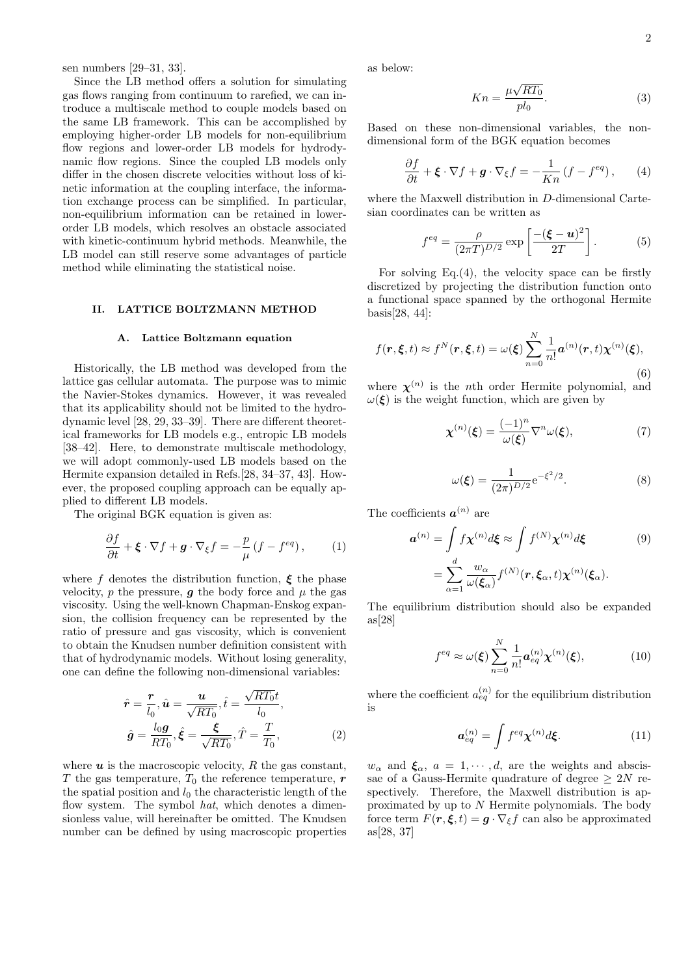sen numbers [29–31, 33].

Since the LB method offers a solution for simulating gas flows ranging from continuum to rarefied, we can introduce a multiscale method to couple models based on the same LB framework. This can be accomplished by employing higher-order LB models for non-equilibrium flow regions and lower-order LB models for hydrodynamic flow regions. Since the coupled LB models only differ in the chosen discrete velocities without loss of kinetic information at the coupling interface, the information exchange process can be simplified. In particular, non-equilibrium information can be retained in lowerorder LB models, which resolves an obstacle associated with kinetic-continuum hybrid methods. Meanwhile, the LB model can still reserve some advantages of particle method while eliminating the statistical noise.

# **II. LATTICE BOLTZMANN METHOD**

### **A. Lattice Boltzmann equation**

Historically, the LB method was developed from the lattice gas cellular automata. The purpose was to mimic the Navier-Stokes dynamics. However, it was revealed that its applicability should not be limited to the hydrodynamic level [28, 29, 33–39]. There are different theoretical frameworks for LB models e.g., entropic LB models [38–42]. Here, to demonstrate multiscale methodology, we will adopt commonly-used LB models based on the Hermite expansion detailed in Refs.[28, 34–37, 43]. However, the proposed coupling approach can be equally applied to different LB models.

The original BGK equation is given as:

$$
\frac{\partial f}{\partial t} + \boldsymbol{\xi} \cdot \nabla f + \boldsymbol{g} \cdot \nabla_{\xi} f = -\frac{p}{\mu} \left( f - f^{eq} \right), \qquad (1)
$$

where *f* denotes the distribution function,  $\xi$  the phase velocity,  $p$  the pressure,  $q$  the body force and  $\mu$  the gas viscosity. Using the well-known Chapman-Enskog expansion, the collision frequency can be represented by the ratio of pressure and gas viscosity, which is convenient to obtain the Knudsen number definition consistent with that of hydrodynamic models. Without losing generality, one can define the following non-dimensional variables:

$$
\hat{\mathbf{r}} = \frac{\mathbf{r}}{l_0}, \hat{\mathbf{u}} = \frac{\mathbf{u}}{\sqrt{RT_0}}, \hat{t} = \frac{\sqrt{RT_0}t}{l_0},
$$
\n
$$
\hat{\mathbf{g}} = \frac{l_0 \mathbf{g}}{RT_0}, \hat{\xi} = \frac{\xi}{\sqrt{RT_0}}, \hat{T} = \frac{T}{T_0},
$$
\n(2)

where  $\boldsymbol{u}$  is the macroscopic velocity,  $R$  the gas constant, *T* the gas temperature,  $T_0$  the reference temperature,  $r$ the spatial position and  $l_0$  the characteristic length of the flow system. The symbol *hat*, which denotes a dimensionless value, will hereinafter be omitted. The Knudsen number can be defined by using macroscopic properties as below:

$$
Kn = \frac{\mu\sqrt{RT_0}}{pl_0}.\tag{3}
$$

Based on these non-dimensional variables, the nondimensional form of the BGK equation becomes

$$
\frac{\partial f}{\partial t} + \boldsymbol{\xi} \cdot \nabla f + \boldsymbol{g} \cdot \nabla_{\xi} f = -\frac{1}{Kn} \left( f - f^{eq} \right), \qquad (4)
$$

where the Maxwell distribution in *D*-dimensional Cartesian coordinates can be written as

$$
f^{eq} = \frac{\rho}{(2\pi T)^{D/2}} \exp\left[\frac{-(\boldsymbol{\xi} - \boldsymbol{u})^2}{2T}\right].
$$
 (5)

For solving  $Eq.(4)$ , the velocity space can be firstly discretized by projecting the distribution function onto a functional space spanned by the orthogonal Hermite basis[28, 44]:

$$
f(\mathbf{r}, \boldsymbol{\xi}, t) \approx f^N(\mathbf{r}, \boldsymbol{\xi}, t) = \omega(\boldsymbol{\xi}) \sum_{n=0}^N \frac{1}{n!} a^{(n)}(\mathbf{r}, t) \boldsymbol{\chi}^{(n)}(\boldsymbol{\xi}),
$$
\n(6)

where  $\chi^{(n)}$  is the *n*th order Hermite polynomial, and  $\omega(\xi)$  is the weight function, which are given by

$$
\chi^{(n)}(\xi) = \frac{(-1)^n}{\omega(\xi)} \nabla^n \omega(\xi),\tag{7}
$$

$$
\omega(\xi) = \frac{1}{(2\pi)^{D/2}} e^{-\xi^2/2}.
$$
 (8)

The coefficients  $a^{(n)}$  are

$$
\mathbf{a}^{(n)} = \int f \chi^{(n)} d\boldsymbol{\xi} \approx \int f^{(N)} \chi^{(n)} d\boldsymbol{\xi}
$$
(9)  

$$
= \sum_{\alpha=1}^{d} \frac{w_{\alpha}}{\omega(\boldsymbol{\xi}_{\alpha})} f^{(N)}(\boldsymbol{r}, \boldsymbol{\xi}_{\alpha}, t) \chi^{(n)}(\boldsymbol{\xi}_{\alpha}).
$$

The equilibrium distribution should also be expanded  $as[28]$ 

$$
f^{eq} \approx \omega(\boldsymbol{\xi}) \sum_{n=0}^{N} \frac{1}{n!} \boldsymbol{a}_{eq}^{(n)} \boldsymbol{\chi}^{(n)}(\boldsymbol{\xi}), \tag{10}
$$

where the coefficient  $a_{eq}^{(n)}$  for the equilibrium distribution is

$$
\boldsymbol{a}_{eq}^{(n)} = \int f^{eq} \boldsymbol{\chi}^{(n)} d\boldsymbol{\xi}.
$$
 (11)

 $w_{\alpha}$  and  $\xi_{\alpha}$ ,  $a = 1, \dots, d$ , are the weights and abscissae of a Gauss-Hermite quadrature of degree  $\geq 2N$  respectively. Therefore, the Maxwell distribution is approximated by up to *N* Hermite polynomials. The body force term  $F(\mathbf{r}, \boldsymbol{\xi}, t) = \mathbf{g} \cdot \nabla_{\boldsymbol{\xi}} f$  can also be approximated as[28, 37]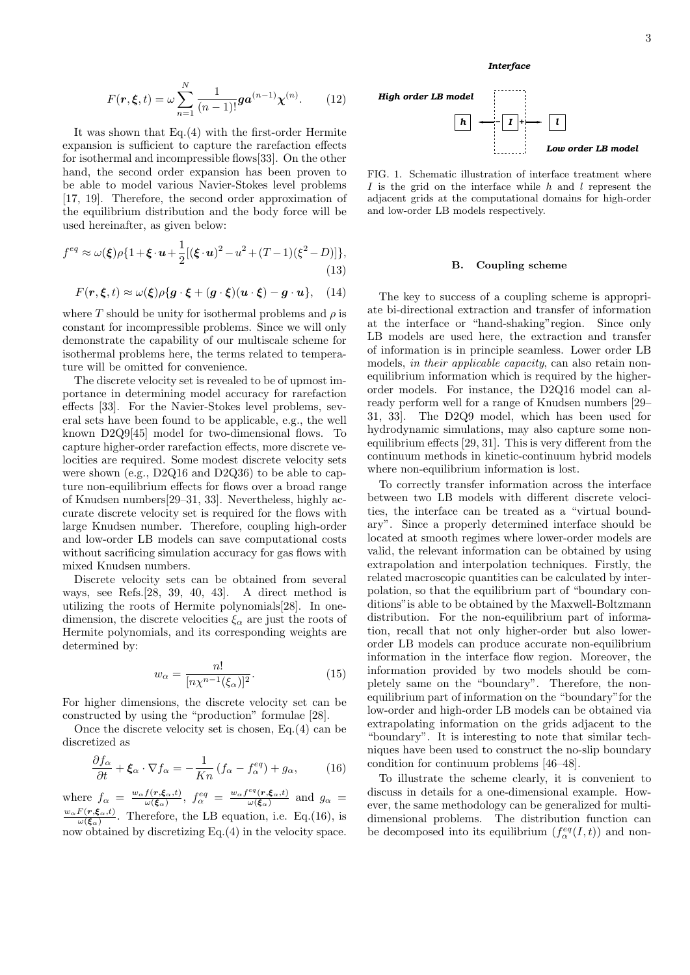$$
F(r, \xi, t) = \omega \sum_{n=1}^{N} \frac{1}{(n-1)!} g a^{(n-1)} \chi^{(n)}.
$$
 (12)

It was shown that Eq.(4) with the first-order Hermite expansion is sufficient to capture the rarefaction effects for isothermal and incompressible flows[33]. On the other hand, the second order expansion has been proven to be able to model various Navier-Stokes level problems [17, 19]. Therefore, the second order approximation of the equilibrium distribution and the body force will be used hereinafter, as given below:

$$
f^{eq} \approx \omega(\xi)\rho\{1+\xi \cdot u + \frac{1}{2}[(\xi \cdot u)^2 - u^2 + (T-1)(\xi^2 - D)]\},\tag{13}
$$

$$
F(\mathbf{r}, \boldsymbol{\xi}, t) \approx \omega(\boldsymbol{\xi}) \rho \{ \boldsymbol{g} \cdot \boldsymbol{\xi} + (\boldsymbol{g} \cdot \boldsymbol{\xi}) (\boldsymbol{u} \cdot \boldsymbol{\xi}) - \boldsymbol{g} \cdot \boldsymbol{u} \}, \quad (14)
$$

where *T* should be unity for isothermal problems and  $\rho$  is constant for incompressible problems. Since we will only demonstrate the capability of our multiscale scheme for isothermal problems here, the terms related to temperature will be omitted for convenience.

The discrete velocity set is revealed to be of upmost importance in determining model accuracy for rarefaction effects [33]. For the Navier-Stokes level problems, several sets have been found to be applicable, e.g., the well known D2Q9[45] model for two-dimensional flows. To capture higher-order rarefaction effects, more discrete velocities are required. Some modest discrete velocity sets were shown (e.g., D2Q16 and D2Q36) to be able to capture non-equilibrium effects for flows over a broad range of Knudsen numbers[29–31, 33]. Nevertheless, highly accurate discrete velocity set is required for the flows with large Knudsen number. Therefore, coupling high-order and low-order LB models can save computational costs without sacrificing simulation accuracy for gas flows with mixed Knudsen numbers.

Discrete velocity sets can be obtained from several ways, see Refs.[28, 39, 40, 43]. A direct method is utilizing the roots of Hermite polynomials[28]. In onedimension, the discrete velocities  $\xi_{\alpha}$  are just the roots of Hermite polynomials, and its corresponding weights are determined by:

$$
w_{\alpha} = \frac{n!}{[n\chi^{n-1}(\xi_{\alpha})]^2}.
$$
\n(15)

For higher dimensions, the discrete velocity set can be constructed by using the "production" formulae [28].

Once the discrete velocity set is chosen, Eq.(4) can be discretized as

$$
\frac{\partial f_{\alpha}}{\partial t} + \xi_{\alpha} \cdot \nabla f_{\alpha} = -\frac{1}{Kn} \left( f_{\alpha} - f_{\alpha}^{eq} \right) + g_{\alpha}, \tag{16}
$$

where  $f_{\alpha} = \frac{w_{\alpha} f(\mathbf{r}, \boldsymbol{\xi}_{\alpha}, t)}{\omega(\boldsymbol{\xi}_{\alpha})}$  $\frac{f(\mathbf{r}, \boldsymbol{\xi}_{\alpha}, t)}{\omega(\boldsymbol{\xi}_{\alpha})}, \; f_{\alpha}^{eq} = \frac{w_{\alpha} f^{eq}(\mathbf{r}, \boldsymbol{\xi}_{\alpha}, t)}{\omega(\boldsymbol{\xi}_{\alpha})}$  $\frac{\partial u(\mathbf{r}, \boldsymbol{\xi}_{\alpha}, t)}{\partial(\boldsymbol{\xi}_{\alpha})}$  and  $g_{\alpha}$  = *wαF* (*r,ξα,t*)  $\frac{F(r,\xi_{\alpha},t)}{\omega(\xi_{\alpha})}$ . Therefore, the LB equation, i.e. Eq.(16), is now obtained by discretizing Eq.(4) in the velocity space.



*Interface*

FIG. 1. Schematic illustration of interface treatment where *I* is the grid on the interface while *h* and *l* represent the adjacent grids at the computational domains for high-order and low-order LB models respectively.

### **B. Coupling scheme**

The key to success of a coupling scheme is appropriate bi-directional extraction and transfer of information at the interface or "hand-shaking"region. Since only LB models are used here, the extraction and transfer of information is in principle seamless. Lower order LB models, *in their applicable capacity*, can also retain nonequilibrium information which is required by the higherorder models. For instance, the D2Q16 model can already perform well for a range of Knudsen numbers [29– 31, 33]. The D2Q9 model, which has been used for hydrodynamic simulations, may also capture some nonequilibrium effects [29, 31]. This is very different from the continuum methods in kinetic-continuum hybrid models where non-equilibrium information is lost.

To correctly transfer information across the interface between two LB models with different discrete velocities, the interface can be treated as a "virtual boundary". Since a properly determined interface should be located at smooth regimes where lower-order models are valid, the relevant information can be obtained by using extrapolation and interpolation techniques. Firstly, the related macroscopic quantities can be calculated by interpolation, so that the equilibrium part of "boundary conditions"is able to be obtained by the Maxwell-Boltzmann distribution. For the non-equilibrium part of information, recall that not only higher-order but also lowerorder LB models can produce accurate non-equilibrium information in the interface flow region. Moreover, the information provided by two models should be completely same on the "boundary". Therefore, the nonequilibrium part of information on the "boundary"for the low-order and high-order LB models can be obtained via extrapolating information on the grids adjacent to the "boundary". It is interesting to note that similar techniques have been used to construct the no-slip boundary condition for continuum problems [46–48].

To illustrate the scheme clearly, it is convenient to discuss in details for a one-dimensional example. However, the same methodology can be generalized for multidimensional problems. The distribution function can be decomposed into its equilibrium  $(f_\alpha^{eq}(I,t))$  and non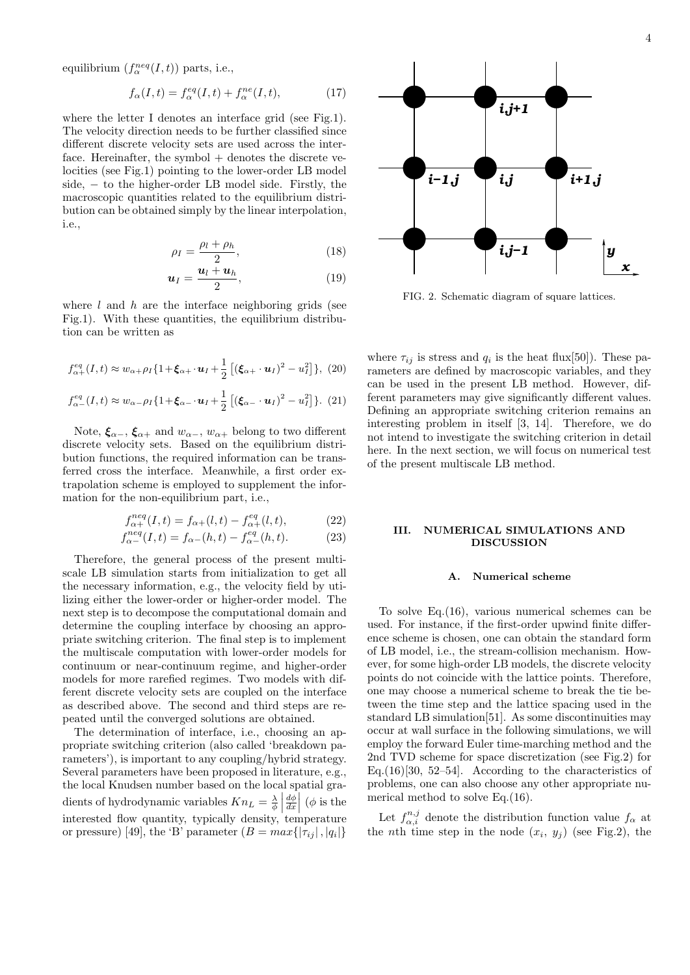equilibrium  $(f_\alpha^{neq}(I,t))$  parts, i.e.,

$$
f_{\alpha}(I,t) = f_{\alpha}^{eq}(I,t) + f_{\alpha}^{ne}(I,t),
$$
\n(17)

where the letter I denotes an interface grid (see Fig.1). The velocity direction needs to be further classified since different discrete velocity sets are used across the interface. Hereinafter, the symbol  $+$  denotes the discrete velocities (see Fig.1) pointing to the lower-order LB model side, *−* to the higher-order LB model side. Firstly, the macroscopic quantities related to the equilibrium distribution can be obtained simply by the linear interpolation, i.e.,

$$
\rho_I = \frac{\rho_l + \rho_h}{2},\tag{18}
$$

$$
\boldsymbol{u}_I = \frac{\boldsymbol{u}_l + \boldsymbol{u}_h}{2},\tag{19}
$$

where *l* and *h* are the interface neighboring grids (see Fig.1). With these quantities, the equilibrium distribution can be written as

$$
f_{\alpha+}^{eq}(I,t) \approx w_{\alpha+\rho I} \{1+\boldsymbol{\xi}_{\alpha+} \cdot \boldsymbol{u}_I + \frac{1}{2} \left[ \left(\boldsymbol{\xi}_{\alpha+} \cdot \boldsymbol{u}_I\right)^2 - u_I^2 \right] \}, (20)
$$

$$
f_{\alpha-}^{eq}(I,t) \approx w_{\alpha-\rho_I} \{1+\boldsymbol{\xi}_{\alpha-} \cdot \boldsymbol{u}_I + \frac{1}{2} \left[ (\boldsymbol{\xi}_{\alpha-} \cdot \boldsymbol{u}_I)^2 - u_I^2 \right] \}. (21)
$$

Note,  $\xi_{\alpha-}$ ,  $\xi_{\alpha+}$  and  $w_{\alpha-}$ ,  $w_{\alpha+}$  belong to two different discrete velocity sets. Based on the equilibrium distribution functions, the required information can be transferred cross the interface. Meanwhile, a first order extrapolation scheme is employed to supplement the information for the non-equilibrium part, i.e.,

$$
f_{\alpha+}^{neq}(I,t) = f_{\alpha+}(l,t) - f_{\alpha+}^{eq}(l,t), \qquad (22)
$$

$$
f_{\alpha-}^{neq}(I,t) = f_{\alpha-}(h,t) - f_{\alpha-}^{eq}(h,t).
$$
 (23)

Therefore, the general process of the present multiscale LB simulation starts from initialization to get all the necessary information, e.g., the velocity field by utilizing either the lower-order or higher-order model. The next step is to decompose the computational domain and determine the coupling interface by choosing an appropriate switching criterion. The final step is to implement the multiscale computation with lower-order models for continuum or near-continuum regime, and higher-order models for more rarefied regimes. Two models with different discrete velocity sets are coupled on the interface as described above. The second and third steps are repeated until the converged solutions are obtained.

The determination of interface, i.e., choosing an appropriate switching criterion (also called 'breakdown parameters'), is important to any coupling/hybrid strategy. Several parameters have been proposed in literature, e.g., the local Knudsen number based on the local spatial gradients of hydrodynamic variables  $Kn_L = \frac{\lambda}{\phi}$  *dϕ dx*  $\int (\phi \text{ is the})$ interested flow quantity, typically density, temperature or pressure) [49], the 'B' parameter  $(B = max\{|\tau_{ij}|, |q_i|\}$ 



FIG. 2. Schematic diagram of square lattices.

where  $\tau_{ij}$  is stress and  $q_i$  is the heat flux[50]). These parameters are defined by macroscopic variables, and they can be used in the present LB method. However, different parameters may give significantly different values. Defining an appropriate switching criterion remains an interesting problem in itself [3, 14]. Therefore, we do not intend to investigate the switching criterion in detail here. In the next section, we will focus on numerical test of the present multiscale LB method.

## **III. NUMERICAL SIMULATIONS AND DISCUSSION**

# **A. Numerical scheme**

To solve Eq.(16), various numerical schemes can be used. For instance, if the first-order upwind finite difference scheme is chosen, one can obtain the standard form of LB model, i.e., the stream-collision mechanism. However, for some high-order LB models, the discrete velocity points do not coincide with the lattice points. Therefore, one may choose a numerical scheme to break the tie between the time step and the lattice spacing used in the standard LB simulation[51]. As some discontinuities may occur at wall surface in the following simulations, we will employ the forward Euler time-marching method and the 2nd TVD scheme for space discretization (see Fig.2) for Eq.  $(16)[30, 52-54]$ . According to the characteristics of problems, one can also choose any other appropriate numerical method to solve Eq.(16).

Let  $f_{\alpha,i}^{n,j}$  denote the distribution function value  $f_{\alpha}$  at the *n*th time step in the node  $(x_i, y_j)$  (see Fig.2), the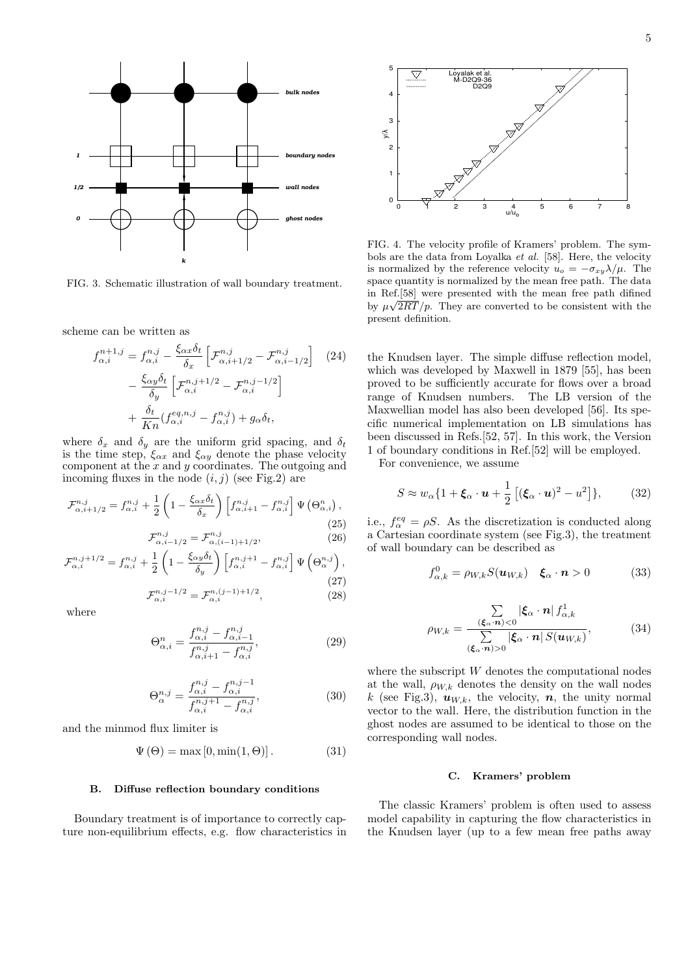

FIG. 3. Schematic illustration of wall boundary treatment.

scheme can be written as

$$
f_{\alpha,i}^{n+1,j} = f_{\alpha,i}^{n,j} - \frac{\xi_{\alpha x} \delta_t}{\delta_x} \left[ \mathcal{F}_{\alpha,i+1/2}^{n,j} - \mathcal{F}_{\alpha,i-1/2}^{n,j} \right] \quad (24)
$$

$$
- \frac{\xi_{\alpha y} \delta_t}{\delta_y} \left[ \mathcal{F}_{\alpha,i}^{n,j+1/2} - \mathcal{F}_{\alpha,i}^{n,j-1/2} \right]
$$

$$
+ \frac{\delta_t}{K n} (f_{\alpha,i}^{eq,n,j} - f_{\alpha,i}^{n,j}) + g_\alpha \delta_t,
$$

where  $\delta_x$  and  $\delta_y$  are the uniform grid spacing, and  $\delta_t$ is the time step,  $\xi_{\alpha x}$  and  $\xi_{\alpha y}$  denote the phase velocity component at the *x* and *y* coordinates. The outgoing and incoming fluxes in the node  $(i, j)$  (see Fig.2) are

$$
\mathcal{F}^{n,j}_{\alpha,i+1/2} = f^{n,j}_{\alpha,i} + \frac{1}{2} \left( 1 - \frac{\xi_{\alpha x} \delta_t}{\delta_x} \right) \left[ f^{n,j}_{\alpha,i+1} - f^{n,j}_{\alpha,i} \right] \Psi \left( \Theta^n_{\alpha,i} \right), \tag{25}
$$

$$
\mathcal{F}^{n,j}_{\alpha,i-1/2} = \mathcal{F}^{n,j}_{\alpha,(i-1)+1/2},\tag{26}
$$

$$
\mathcal{F}_{\alpha,i}^{n,j+1/2} = f_{\alpha,i}^{n,j} + \frac{1}{2} \left( 1 - \frac{\xi_{\alpha y} \delta_t}{\delta_y} \right) \left[ f_{\alpha,i}^{n,j+1} - f_{\alpha,i}^{n,j} \right] \Psi \left( \Theta_{\alpha}^{n,j} \right),
$$
\n
$$
\mathcal{F}_{\alpha,i}^{n,j-1/2} = \mathcal{F}_{\alpha,i}^{n,(j-1)+1/2},
$$
\n(28)

where

$$
\Theta_{\alpha,i}^{n} = \frac{f_{\alpha,i}^{n,j} - f_{\alpha,i-1}^{n,j}}{f_{\alpha,i+1}^{n,j} - f_{\alpha,i}^{n,j}},
$$
\n(29)

$$
\Theta_{\alpha}^{n,j} = \frac{f_{\alpha,i}^{n,j} - f_{\alpha,i}^{n,j-1}}{f_{\alpha,i}^{n,j+1} - f_{\alpha,i}^{n,j}},\tag{30}
$$

and the minmod flux limiter is

$$
\Psi(\Theta) = \max[0, \min(1, \Theta)]. \tag{31}
$$

#### **B. Diffuse reflection boundary conditions**

Boundary treatment is of importance to correctly capture non-equilibrium effects, e.g. flow characteristics in



FIG. 4. The velocity profile of Kramers' problem. The symbols are the data from Loyalka *et al.* [58]. Here, the velocity is normalized by the reference velocity  $u_o = -\sigma_{xy} \lambda / \mu$ . The space quantity is normalized by the mean free path. The data in Ref.[58] were presented with the mean free path difined *√* by  $\mu\sqrt{2RT/p}$ . They are converted to be consistent with the present definition.

the Knudsen layer. The simple diffuse reflection model, which was developed by Maxwell in 1879 [55], has been proved to be sufficiently accurate for flows over a broad range of Knudsen numbers. The LB version of the Maxwellian model has also been developed [56]. Its specific numerical implementation on LB simulations has been discussed in Refs.[52, 57]. In this work, the Version 1 of boundary conditions in Ref.[52] will be employed.

For convenience, we assume

$$
S \approx w_{\alpha} \{ 1 + \xi_{\alpha} \cdot \boldsymbol{u} + \frac{1}{2} \left[ (\xi_{\alpha} \cdot \boldsymbol{u})^2 - u^2 \right] \}, \qquad (32)
$$

i.e.,  $f_{\alpha}^{eq} = \rho S$ . As the discretization is conducted along a Cartesian coordinate system (see Fig.3), the treatment of wall boundary can be described as

$$
f_{\alpha,k}^0 = \rho_{W,k} S(\boldsymbol{u}_{W,k}) \quad \boldsymbol{\xi}_{\alpha} \cdot \boldsymbol{n} > 0 \tag{33}
$$

$$
\rho_{W,k} = \frac{\sum\limits_{(\xi_{\alpha} \cdot \boldsymbol{n}) < 0} |\xi_{\alpha} \cdot \boldsymbol{n}| f_{\alpha,k}^1}{\sum\limits_{(\xi_{\alpha} \cdot \boldsymbol{n}) > 0} |\xi_{\alpha} \cdot \boldsymbol{n}| S(u_{W,k})},\tag{34}
$$

where the subscript *W* denotes the computational nodes at the wall,  $\rho_{W,k}$  denotes the density on the wall nodes *k* (see Fig.3),  $u_{W,k}$ , the velocity, *n*, the unity normal vector to the wall. Here, the distribution function in the ghost nodes are assumed to be identical to those on the corresponding wall nodes.

#### **C. Kramers' problem**

The classic Kramers' problem is often used to assess model capability in capturing the flow characteristics in the Knudsen layer (up to a few mean free paths away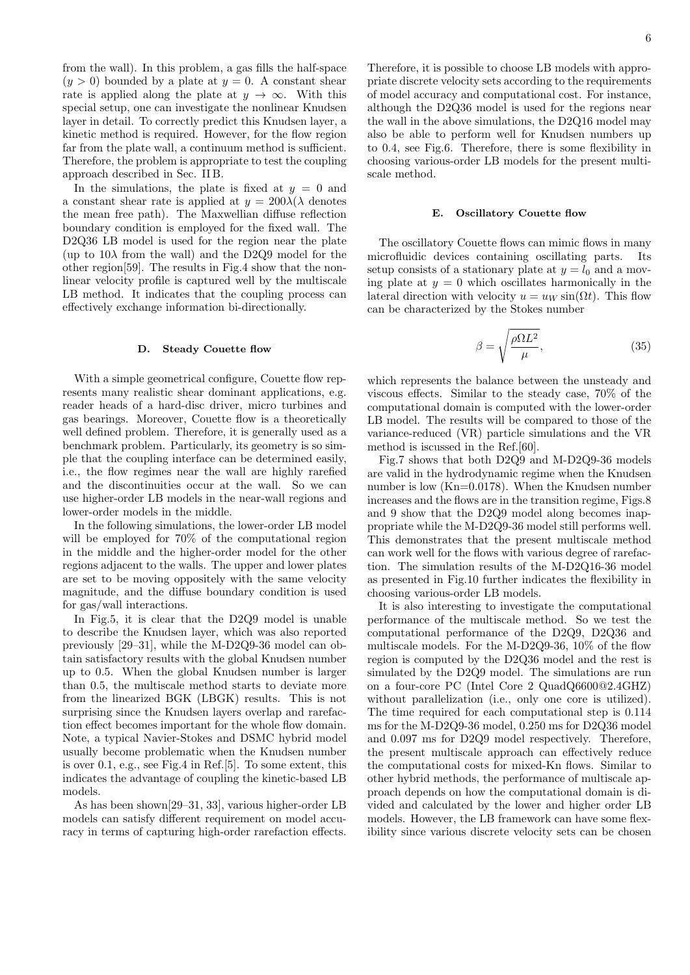from the wall). In this problem, a gas fills the half-space  $(y > 0)$  bounded by a plate at  $y = 0$ . A constant shear rate is applied along the plate at  $y \to \infty$ . With this special setup, one can investigate the nonlinear Knudsen layer in detail. To correctly predict this Knudsen layer, a kinetic method is required. However, for the flow region far from the plate wall, a continuum method is sufficient. Therefore, the problem is appropriate to test the coupling approach described in Sec. II B.

In the simulations, the plate is fixed at  $y = 0$  and a constant shear rate is applied at  $y = 200\lambda/\lambda$  denotes the mean free path). The Maxwellian diffuse reflection boundary condition is employed for the fixed wall. The D2Q36 LB model is used for the region near the plate (up to  $10\lambda$  from the wall) and the D2Q9 model for the other region[59]. The results in Fig.4 show that the nonlinear velocity profile is captured well by the multiscale LB method. It indicates that the coupling process can effectively exchange information bi-directionally.

#### **D. Steady Couette flow**

With a simple geometrical configure, Couette flow represents many realistic shear dominant applications, e.g. reader heads of a hard-disc driver, micro turbines and gas bearings. Moreover, Couette flow is a theoretically well defined problem. Therefore, it is generally used as a benchmark problem. Particularly, its geometry is so simple that the coupling interface can be determined easily, i.e., the flow regimes near the wall are highly rarefied and the discontinuities occur at the wall. So we can use higher-order LB models in the near-wall regions and lower-order models in the middle.

In the following simulations, the lower-order LB model will be employed for 70% of the computational region in the middle and the higher-order model for the other regions adjacent to the walls. The upper and lower plates are set to be moving oppositely with the same velocity magnitude, and the diffuse boundary condition is used for gas/wall interactions.

In Fig.5, it is clear that the D2Q9 model is unable to describe the Knudsen layer, which was also reported previously [29–31], while the M-D2Q9-36 model can obtain satisfactory results with the global Knudsen number up to 0*.*5. When the global Knudsen number is larger than 0*.*5, the multiscale method starts to deviate more from the linearized BGK (LBGK) results. This is not surprising since the Knudsen layers overlap and rarefaction effect becomes important for the whole flow domain. Note, a typical Navier-Stokes and DSMC hybrid model usually become problematic when the Knudsen number is over 0*.*1, e.g., see Fig.4 in Ref.[5]. To some extent, this indicates the advantage of coupling the kinetic-based LB models.

As has been shown[29–31, 33], various higher-order LB models can satisfy different requirement on model accuracy in terms of capturing high-order rarefaction effects.

Therefore, it is possible to choose LB models with appropriate discrete velocity sets according to the requirements of model accuracy and computational cost. For instance, although the D2Q36 model is used for the regions near the wall in the above simulations, the D2Q16 model may also be able to perform well for Knudsen numbers up to 0.4, see Fig.6. Therefore, there is some flexibility in choosing various-order LB models for the present multiscale method.

#### **E. Oscillatory Couette flow**

The oscillatory Couette flows can mimic flows in many microfluidic devices containing oscillating parts. Its setup consists of a stationary plate at  $y = l_0$  and a moving plate at  $y = 0$  which oscillates harmonically in the lateral direction with velocity  $u = u_W \sin(\Omega t)$ . This flow can be characterized by the Stokes number

$$
\beta = \sqrt{\frac{\rho \Omega L^2}{\mu}},\tag{35}
$$

which represents the balance between the unsteady and viscous effects. Similar to the steady case, 70% of the computational domain is computed with the lower-order LB model. The results will be compared to those of the variance-reduced (VR) particle simulations and the VR method is iscussed in the Ref.[60].

Fig.7 shows that both D2Q9 and M-D2Q9-36 models are valid in the hydrodynamic regime when the Knudsen number is low (Kn=0.0178). When the Knudsen number increases and the flows are in the transition regime, Figs.8 and 9 show that the D2Q9 model along becomes inappropriate while the M-D2Q9-36 model still performs well. This demonstrates that the present multiscale method can work well for the flows with various degree of rarefaction. The simulation results of the M-D2Q16-36 model as presented in Fig.10 further indicates the flexibility in choosing various-order LB models.

It is also interesting to investigate the computational performance of the multiscale method. So we test the computational performance of the D2Q9, D2Q36 and multiscale models. For the M-D2Q9-36, 10% of the flow region is computed by the D2Q36 model and the rest is simulated by the D2Q9 model. The simulations are run on a four-core PC (Intel Core 2 QuadQ6600@2.4GHZ) without parallelization (i.e., only one core is utilized). The time required for each computational step is 0.114 ms for the M-D2Q9-36 model, 0.250 ms for D2Q36 model and 0.097 ms for D2Q9 model respectively. Therefore, the present multiscale approach can effectively reduce the computational costs for mixed-Kn flows. Similar to other hybrid methods, the performance of multiscale approach depends on how the computational domain is divided and calculated by the lower and higher order LB models. However, the LB framework can have some flexibility since various discrete velocity sets can be chosen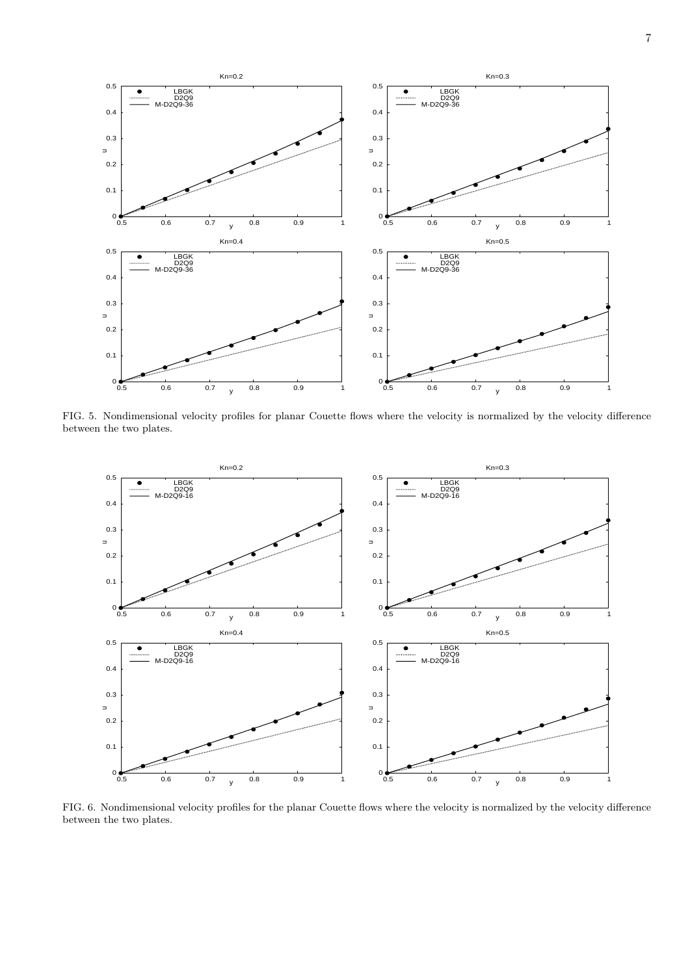

FIG. 5. Nondimensional velocity profiles for planar Couette flows where the velocity is normalized by the velocity difference between the two plates.



FIG. 6. Nondimensional velocity profiles for the planar Couette flows where the velocity is normalized by the velocity difference between the two plates.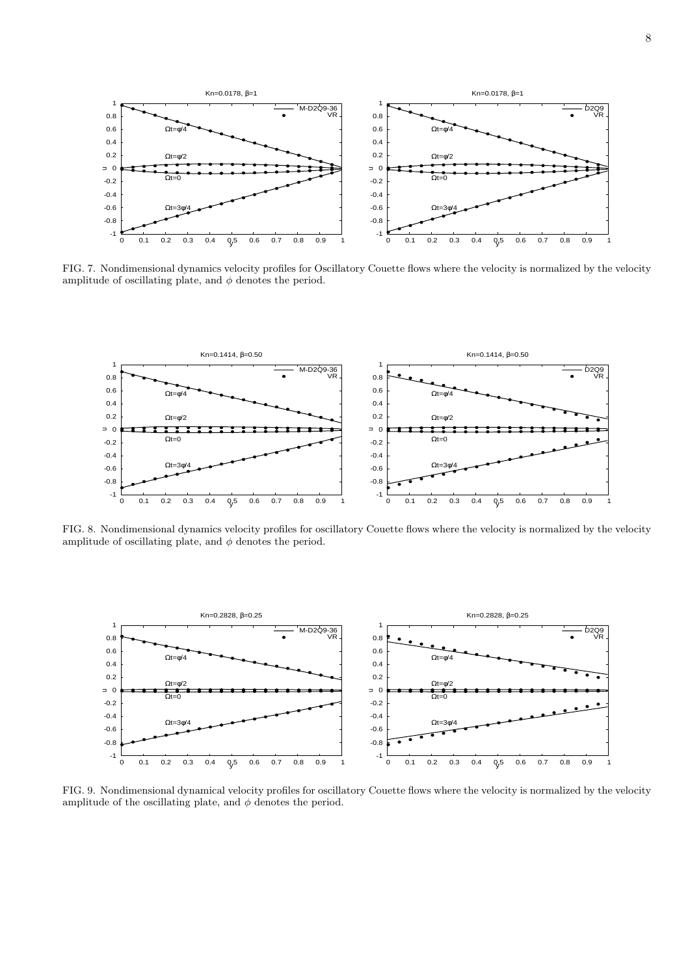

FIG. 7. Nondimensional dynamics velocity profiles for Oscillatory Couette flows where the velocity is normalized by the velocity amplitude of oscillating plate, and  $\phi$  denotes the period.



FIG. 8. Nondimensional dynamics velocity profiles for oscillatory Couette flows where the velocity is normalized by the velocity amplitude of oscillating plate, and  $\phi$  denotes the period.



FIG. 9. Nondimensional dynamical velocity profiles for oscillatory Couette flows where the velocity is normalized by the velocity amplitude of the oscillating plate, and  $\phi$  denotes the period.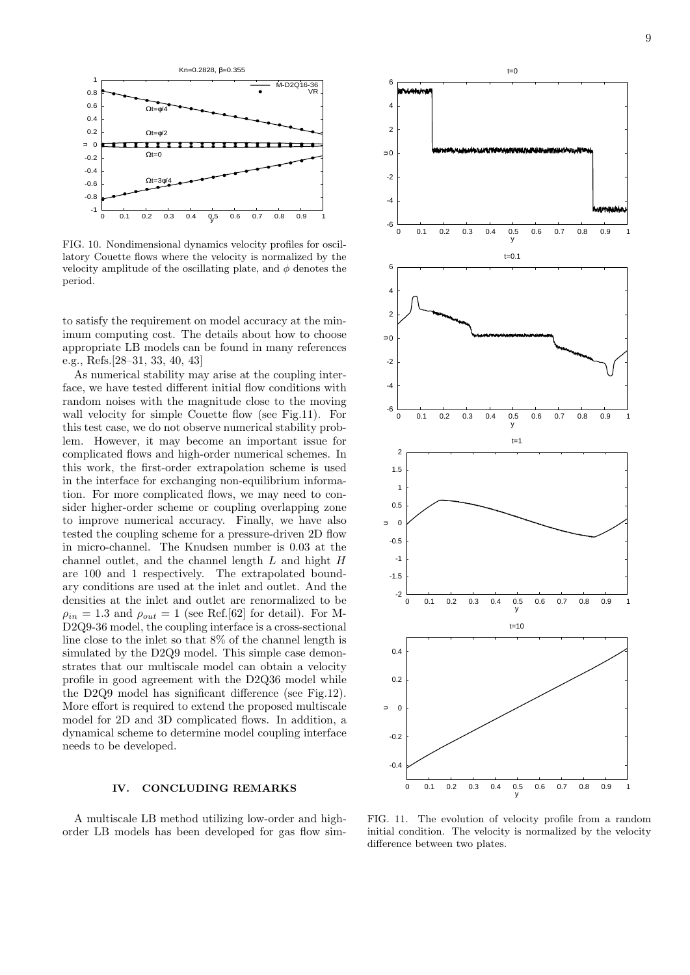

FIG. 10. Nondimensional dynamics velocity profiles for oscillatory Couette flows where the velocity is normalized by the velocity amplitude of the oscillating plate, and  $\phi$  denotes the period.

to satisfy the requirement on model accuracy at the minimum computing cost. The details about how to choose appropriate LB models can be found in many references e.g., Refs.[28–31, 33, 40, 43]

As numerical stability may arise at the coupling interface, we have tested different initial flow conditions with random noises with the magnitude close to the moving wall velocity for simple Couette flow (see Fig.11). For this test case, we do not observe numerical stability problem. However, it may become an important issue for complicated flows and high-order numerical schemes. In this work, the first-order extrapolation scheme is used in the interface for exchanging non-equilibrium information. For more complicated flows, we may need to consider higher-order scheme or coupling overlapping zone to improve numerical accuracy. Finally, we have also tested the coupling scheme for a pressure-driven 2D flow in micro-channel. The Knudsen number is 0*.*03 at the channel outlet, and the channel length *L* and hight *H* are 100 and 1 respectively. The extrapolated boundary conditions are used at the inlet and outlet. And the densities at the inlet and outlet are renormalized to be  $\rho_{in} = 1.3$  and  $\rho_{out} = 1$  (see Ref.[62] for detail). For M-D2Q9-36 model, the coupling interface is a cross-sectional line close to the inlet so that 8% of the channel length is simulated by the D2Q9 model. This simple case demonstrates that our multiscale model can obtain a velocity profile in good agreement with the D2Q36 model while the D2Q9 model has significant difference (see Fig.12). More effort is required to extend the proposed multiscale model for 2D and 3D complicated flows. In addition, a dynamical scheme to determine model coupling interface needs to be developed.

### **IV. CONCLUDING REMARKS**

A multiscale LB method utilizing low-order and highorder LB models has been developed for gas flow sim-



FIG. 11. The evolution of velocity profile from a random initial condition. The velocity is normalized by the velocity difference between two plates.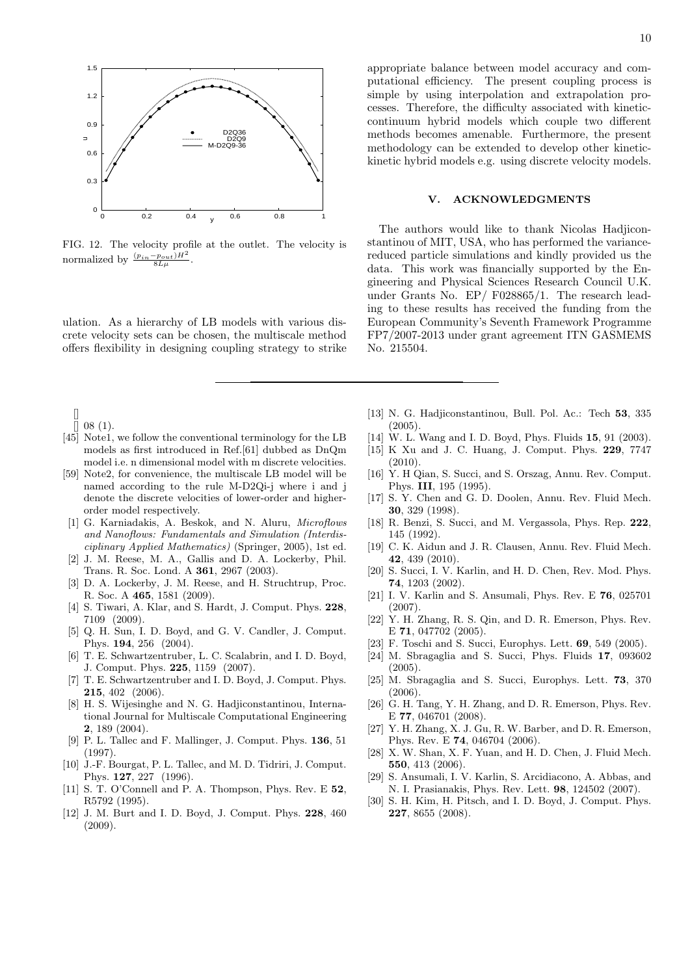

FIG. 12. The velocity profile at the outlet. The velocity is normalized by  $\frac{(p_{in} - p_{out})H^2}{8L\mu}$ .

ulation. As a hierarchy of LB models with various discrete velocity sets can be chosen, the multiscale method offers flexibility in designing coupling strategy to strike

[]  $[$  08 (1).

- [45] Note1, we follow the conventional terminology for the LB models as first introduced in Ref.[61] dubbed as DnQm model i.e. n dimensional model with m discrete velocities.
- [59] Note2, for convenience, the multiscale LB model will be named according to the rule M-D2Qi-j where i and j denote the discrete velocities of lower-order and higherorder model respectively.
- [1] G. Karniadakis, A. Beskok, and N. Aluru, *Microflows and Nanoflows: Fundamentals and Simulation (Interdisciplinary Applied Mathematics)* (Springer, 2005), 1st ed.
- [2] J. M. Reese, M. A., Gallis and D. A. Lockerby, Phil. Trans. R. Soc. Lond. A **361**, 2967 (2003).
- [3] D. A. Lockerby, J. M. Reese, and H. Struchtrup, Proc. R. Soc. A **465**, 1581 (2009).
- [4] S. Tiwari, A. Klar, and S. Hardt, J. Comput. Phys. **228**, 7109 (2009).
- [5] Q. H. Sun, I. D. Boyd, and G. V. Candler, J. Comput. Phys. **194**, 256 (2004).
- [6] T. E. Schwartzentruber, L. C. Scalabrin, and I. D. Boyd, J. Comput. Phys. **225**, 1159 (2007).
- [7] T. E. Schwartzentruber and I. D. Boyd, J. Comput. Phys. **215**, 402 (2006).
- [8] H. S. Wijesinghe and N. G. Hadjiconstantinou, International Journal for Multiscale Computational Engineering **2**, 189 (2004).
- [9] P. L. Tallec and F. Mallinger, J. Comput. Phys. **136**, 51 (1997).
- [10] J.-F. Bourgat, P. L. Tallec, and M. D. Tidriri, J. Comput. Phys. **127**, 227 (1996).
- [11] S. T. O'Connell and P. A. Thompson, Phys. Rev. E **52**, R5792 (1995).
- [12] J. M. Burt and I. D. Boyd, J. Comput. Phys. **228**, 460 (2009).

appropriate balance between model accuracy and computational efficiency. The present coupling process is simple by using interpolation and extrapolation processes. Therefore, the difficulty associated with kineticcontinuum hybrid models which couple two different methods becomes amenable. Furthermore, the present methodology can be extended to develop other kinetickinetic hybrid models e.g. using discrete velocity models.

# **V. ACKNOWLEDGMENTS**

The authors would like to thank Nicolas Hadjiconstantinou of MIT, USA, who has performed the variancereduced particle simulations and kindly provided us the data. This work was financially supported by the Engineering and Physical Sciences Research Council U.K. under Grants No. EP/ F028865/1. The research leading to these results has received the funding from the European Community's Seventh Framework Programme FP7/2007-2013 under grant agreement ITN GASMEMS No. 215504.

- [13] N. G. Hadjiconstantinou, Bull. Pol. Ac.: Tech **53**, 335 (2005).
- [14] W. L. Wang and I. D. Boyd, Phys. Fluids **15**, 91 (2003).
- [15] K Xu and J. C. Huang, J. Comput. Phys. **229**, 7747  $(2010).$
- [16] Y. H Qian, S. Succi, and S. Orszag, Annu. Rev. Comput. Phys. **III**, 195 (1995).
- [17] S. Y. Chen and G. D. Doolen, Annu. Rev. Fluid Mech. **30**, 329 (1998).
- [18] R. Benzi, S. Succi, and M. Vergassola, Phys. Rep. **222**, 145 (1992).
- [19] C. K. Aidun and J. R. Clausen, Annu. Rev. Fluid Mech. **42**, 439 (2010).
- [20] S. Succi, I. V. Karlin, and H. D. Chen, Rev. Mod. Phys. **74**, 1203 (2002).
- [21] I. V. Karlin and S. Ansumali, Phys. Rev. E **76**, 025701 (2007).
- [22] Y. H. Zhang, R. S. Qin, and D. R. Emerson, Phys. Rev. E **71**, 047702 (2005).
- [23] F. Toschi and S. Succi, Europhys. Lett. **69**, 549 (2005).
- [24] M. Sbragaglia and S. Succi, Phys. Fluids **17**, 093602  $(2005)$
- [25] M. Sbragaglia and S. Succi, Europhys. Lett. **73**, 370 (2006).
- [26] G. H. Tang, Y. H. Zhang, and D. R. Emerson, Phys. Rev. E **77**, 046701 (2008).
- [27] Y. H. Zhang, X. J. Gu, R. W. Barber, and D. R. Emerson, Phys. Rev. E **74**, 046704 (2006).
- [28] X. W. Shan, X. F. Yuan, and H. D. Chen, J. Fluid Mech. **550**, 413 (2006).
- [29] S. Ansumali, I. V. Karlin, S. Arcidiacono, A. Abbas, and N. I. Prasianakis, Phys. Rev. Lett. **98**, 124502 (2007).
- [30] S. H. Kim, H. Pitsch, and I. D. Boyd, J. Comput. Phys. **227**, 8655 (2008).